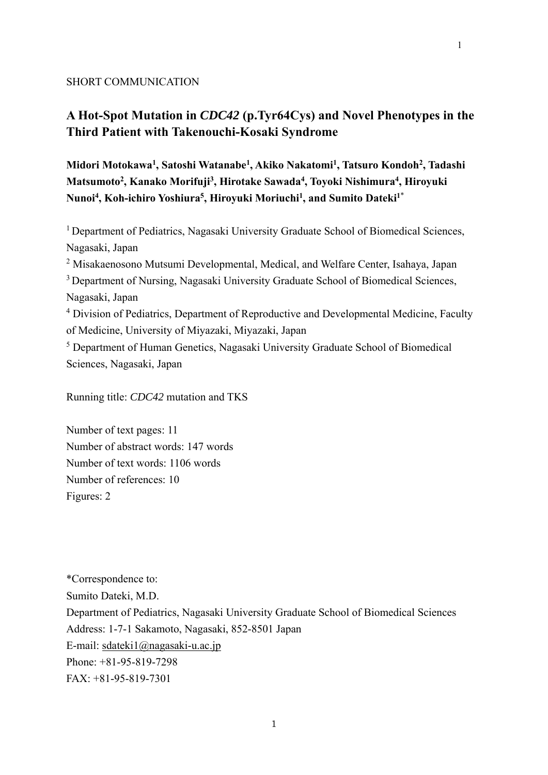#### SHORT COMMUNICATION

# **A Hot-Spot Mutation in** *CDC42* **(p.Tyr64Cys) and Novel Phenotypes in the Third Patient with Takenouchi-Kosaki Syndrome**

**Midori Motokawa1 , Satoshi Watanabe1, Akiko Nakatomi1, Tatsuro Kondoh2, Tadashi Matsumoto2 , Kanako Morifuji3 , Hirotake Sawada4, Toyoki Nishimura4 , Hiroyuki Nunoi4 , Koh-ichiro Yoshiura5 , Hiroyuki Moriuchi1 , and Sumito Dateki1**\*

<sup>1</sup> Department of Pediatrics, Nagasaki University Graduate School of Biomedical Sciences, Nagasaki, Japan

<sup>2</sup> Misakaenosono Mutsumi Developmental, Medical, and Welfare Center, Isahaya, Japan

<sup>3</sup> Department of Nursing, Nagasaki University Graduate School of Biomedical Sciences, Nagasaki, Japan

<sup>4</sup> Division of Pediatrics, Department of Reproductive and Developmental Medicine, Faculty of Medicine, University of Miyazaki, Miyazaki, Japan

<sup>5</sup> Department of Human Genetics, Nagasaki University Graduate School of Biomedical Sciences, Nagasaki, Japan

Running title: *CDC42* mutation and TKS

Number of text pages: 11 Number of abstract words: 147 words Number of text words: 1106 words Number of references: 10 Figures: 2

\*Correspondence to: Sumito Dateki, M.D. Department of Pediatrics, Nagasaki University Graduate School of Biomedical Sciences Address: 1-7-1 Sakamoto, Nagasaki, 852-8501 Japan E-mail: sdateki1@nagasaki-u.ac.jp Phone: +81-95-819-7298 FAX: +81-95-819-7301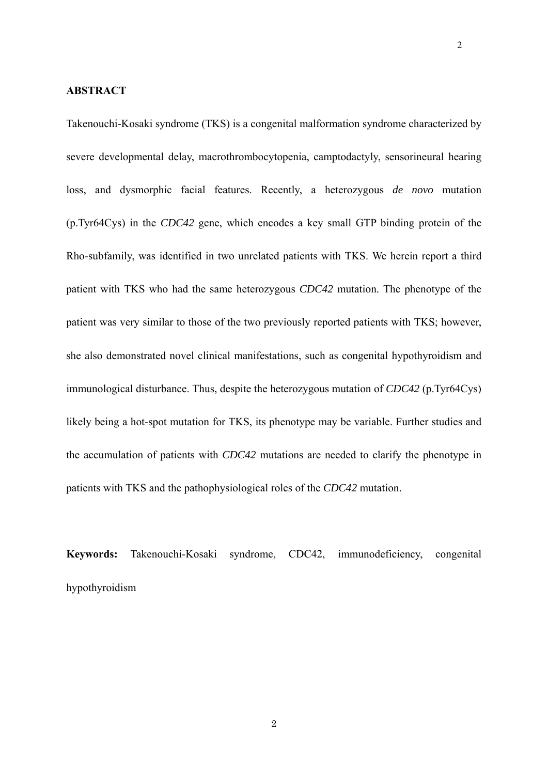#### **ABSTRACT**

Takenouchi-Kosaki syndrome (TKS) is a congenital malformation syndrome characterized by severe developmental delay, macrothrombocytopenia, camptodactyly, sensorineural hearing loss, and dysmorphic facial features. Recently, a heterozygous *de novo* mutation (p.Tyr64Cys) in the *CDC42* gene, which encodes a key small GTP binding protein of the Rho-subfamily, was identified in two unrelated patients with TKS. We herein report a third patient with TKS who had the same heterozygous *CDC42* mutation. The phenotype of the patient was very similar to those of the two previously reported patients with TKS; however, she also demonstrated novel clinical manifestations, such as congenital hypothyroidism and immunological disturbance. Thus, despite the heterozygous mutation of *CDC42* (p.Tyr64Cys) likely being a hot-spot mutation for TKS, its phenotype may be variable. Further studies and the accumulation of patients with *CDC42* mutations are needed to clarify the phenotype in patients with TKS and the pathophysiological roles of the *CDC42* mutation.

**Keywords:** Takenouchi-Kosaki syndrome, CDC42, immunodeficiency, congenital hypothyroidism

2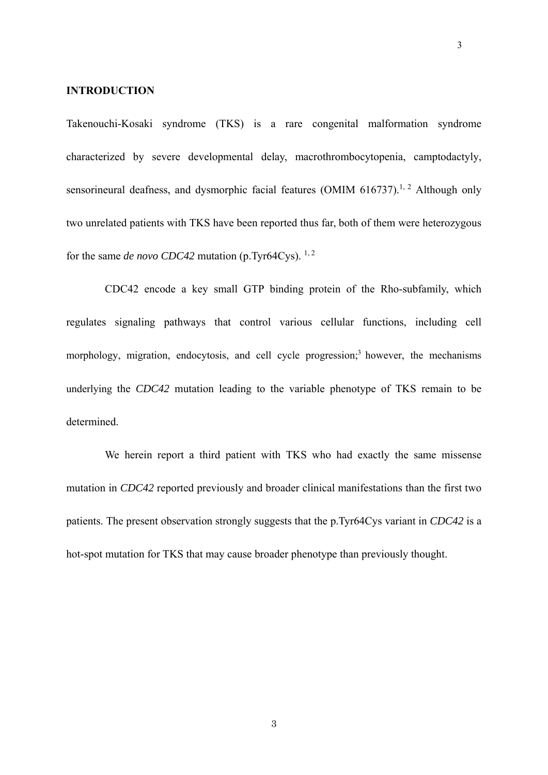#### **INTRODUCTION**

Takenouchi-Kosaki syndrome (TKS) is a rare congenital malformation syndrome characterized by severe developmental delay, macrothrombocytopenia, camptodactyly, sensorineural deafness, and dysmorphic facial features (OMIM  $616737$ ).<sup>1, 2</sup> Although only two unrelated patients with TKS have been reported thus far, both of them were heterozygous for the same *de novo CDC42* mutation (p.Tyr64Cys).<sup>1,2</sup>

CDC42 encode a key small GTP binding protein of the Rho-subfamily, which regulates signaling pathways that control various cellular functions, including cell morphology, migration, endocytosis, and cell cycle progression;<sup>3</sup> however, the mechanisms underlying the *CDC42* mutation leading to the variable phenotype of TKS remain to be determined.

We herein report a third patient with TKS who had exactly the same missense mutation in *CDC42* reported previously and broader clinical manifestations than the first two patients. The present observation strongly suggests that the p.Tyr64Cys variant in *CDC42* is a hot-spot mutation for TKS that may cause broader phenotype than previously thought.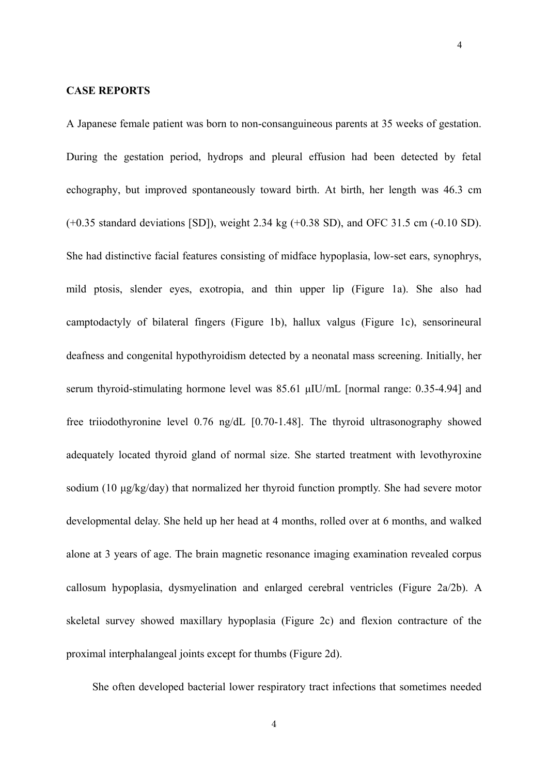#### **CASE REPORTS**

A Japanese female patient was born to non-consanguineous parents at 35 weeks of gestation. During the gestation period, hydrops and pleural effusion had been detected by fetal echography, but improved spontaneously toward birth. At birth, her length was 46.3 cm (+0.35 standard deviations [SD]), weight 2.34 kg (+0.38 SD), and OFC 31.5 cm (-0.10 SD). She had distinctive facial features consisting of midface hypoplasia, low-set ears, synophrys, mild ptosis, slender eyes, exotropia, and thin upper lip (Figure 1a). She also had camptodactyly of bilateral fingers (Figure 1b), hallux valgus (Figure 1c), sensorineural deafness and congenital hypothyroidism detected by a neonatal mass screening. Initially, her serum thyroid-stimulating hormone level was 85.61 μIU/mL [normal range: 0.35-4.94] and free triiodothyronine level 0.76 ng/dL [0.70-1.48]. The thyroid ultrasonography showed adequately located thyroid gland of normal size. She started treatment with levothyroxine sodium (10 μg/kg/day) that normalized her thyroid function promptly. She had severe motor developmental delay. She held up her head at 4 months, rolled over at 6 months, and walked alone at 3 years of age. The brain magnetic resonance imaging examination revealed corpus callosum hypoplasia, dysmyelination and enlarged cerebral ventricles (Figure 2a/2b). A skeletal survey showed maxillary hypoplasia (Figure 2c) and flexion contracture of the proximal interphalangeal joints except for thumbs (Figure 2d).

4

She often developed bacterial lower respiratory tract infections that sometimes needed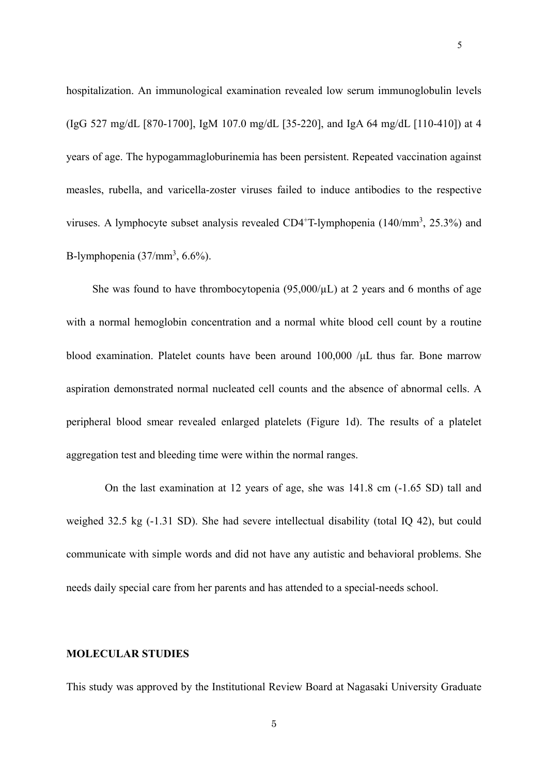hospitalization. An immunological examination revealed low serum immunoglobulin levels (IgG 527 mg/dL [870-1700], IgM 107.0 mg/dL [35-220], and IgA 64 mg/dL [110-410]) at 4 years of age. The hypogammagloburinemia has been persistent. Repeated vaccination against measles, rubella, and varicella-zoster viruses failed to induce antibodies to the respective viruses. A lymphocyte subset analysis revealed  $CD4+T$ -lymphopenia (140/mm<sup>3</sup>, 25.3%) and B-lymphopenia  $(37/\text{mm}^3, 6.6\%)$ .

She was found to have thrombocytopenia  $(95,000/\mu)$  at 2 years and 6 months of age with a normal hemoglobin concentration and a normal white blood cell count by a routine blood examination. Platelet counts have been around 100,000 /μL thus far. Bone marrow aspiration demonstrated normal nucleated cell counts and the absence of abnormal cells. A peripheral blood smear revealed enlarged platelets (Figure 1d). The results of a platelet aggregation test and bleeding time were within the normal ranges.

On the last examination at 12 years of age, she was 141.8 cm (-1.65 SD) tall and weighed 32.5 kg (-1.31 SD). She had severe intellectual disability (total IQ 42), but could communicate with simple words and did not have any autistic and behavioral problems. She needs daily special care from her parents and has attended to a special-needs school.

## **MOLECULAR STUDIES**

 $5\,$ 

This study was approved by the Institutional Review Board at Nagasaki University Graduate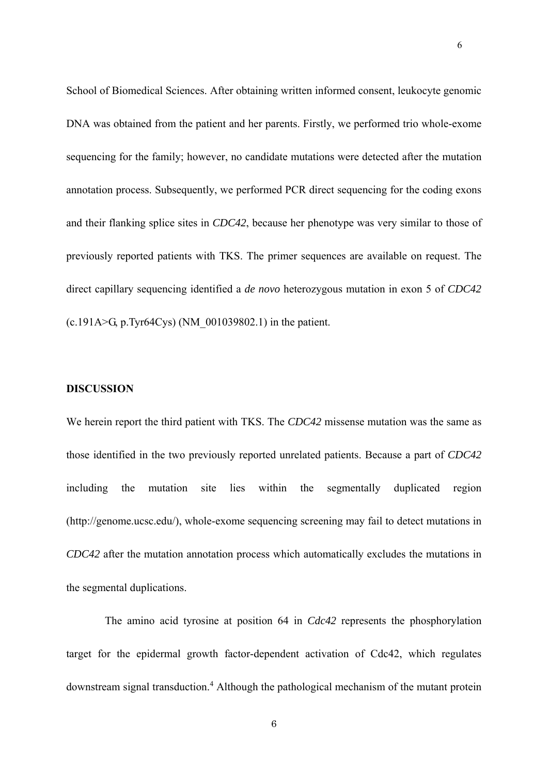School of Biomedical Sciences. After obtaining written informed consent, leukocyte genomic DNA was obtained from the patient and her parents. Firstly, we performed trio whole-exome sequencing for the family; however, no candidate mutations were detected after the mutation annotation process. Subsequently, we performed PCR direct sequencing for the coding exons and their flanking splice sites in *CDC42*, because her phenotype was very similar to those of previously reported patients with TKS. The primer sequences are available on request. The direct capillary sequencing identified a *de novo* heterozygous mutation in exon 5 of *CDC42*  $(c.191A>G, p.Tyr64Cys)$  (NM 001039802.1) in the patient.

6

## **DISCUSSION**

We herein report the third patient with TKS. The *CDC42* missense mutation was the same as those identified in the two previously reported unrelated patients. Because a part of *CDC42* including the mutation site lies within the segmentally duplicated region (http://genome.ucsc.edu/), whole-exome sequencing screening may fail to detect mutations in *CDC42* after the mutation annotation process which automatically excludes the mutations in the segmental duplications.

The amino acid tyrosine at position 64 in *Cdc42* represents the phosphorylation target for the epidermal growth factor-dependent activation of Cdc42, which regulates downstream signal transduction.<sup>4</sup> Although the pathological mechanism of the mutant protein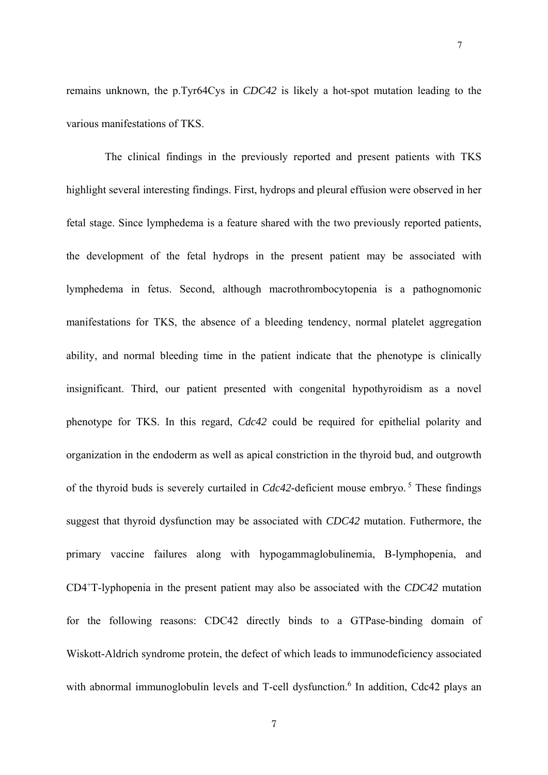remains unknown, the p.Tyr64Cys in *CDC42* is likely a hot-spot mutation leading to the various manifestations of TKS.

The clinical findings in the previously reported and present patients with TKS highlight several interesting findings. First, hydrops and pleural effusion were observed in her fetal stage. Since lymphedema is a feature shared with the two previously reported patients, the development of the fetal hydrops in the present patient may be associated with lymphedema in fetus. Second, although macrothrombocytopenia is a pathognomonic manifestations for TKS, the absence of a bleeding tendency, normal platelet aggregation ability, and normal bleeding time in the patient indicate that the phenotype is clinically insignificant. Third, our patient presented with congenital hypothyroidism as a novel phenotype for TKS. In this regard, *Cdc42* could be required for epithelial polarity and organization in the endoderm as well as apical constriction in the thyroid bud, and outgrowth of the thyroid buds is severely curtailed in *Cdc42*-deficient mouse embryo.<sup>5</sup> These findings suggest that thyroid dysfunction may be associated with *CDC42* mutation. Futhermore, the primary vaccine failures along with hypogammaglobulinemia, B-lymphopenia, and CD4+T-lyphopenia in the present patient may also be associated with the *CDC42* mutation for the following reasons: CDC42 directly binds to a GTPase-binding domain of Wiskott-Aldrich syndrome protein, the defect of which leads to immunodeficiency associated with abnormal immunoglobulin levels and T-cell dysfunction.<sup>6</sup> In addition, Cdc42 plays an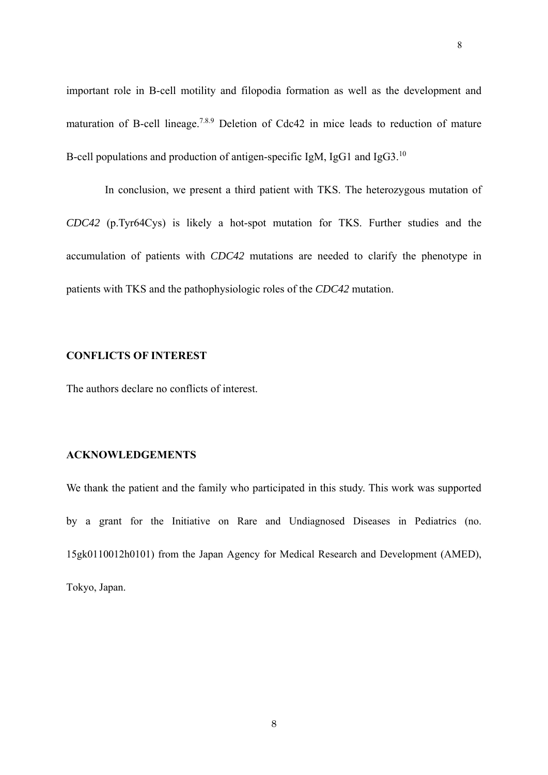important role in B-cell motility and filopodia formation as well as the development and maturation of B-cell lineage.<sup>7.8.9</sup> Deletion of Cdc42 in mice leads to reduction of mature B-cell populations and production of antigen-specific IgM, IgG1 and IgG3.<sup>10</sup>

 In conclusion, we present a third patient with TKS. The heterozygous mutation of *CDC42* (p.Tyr64Cys) is likely a hot-spot mutation for TKS. Further studies and the accumulation of patients with *CDC42* mutations are needed to clarify the phenotype in patients with TKS and the pathophysiologic roles of the *CDC42* mutation.

## **CONFLICTS OF INTEREST**

The authors declare no conflicts of interest.

## **ACKNOWLEDGEMENTS**

We thank the patient and the family who participated in this study. This work was supported by a grant for the Initiative on Rare and Undiagnosed Diseases in Pediatrics (no. 15gk0110012h0101) from the Japan Agency for Medical Research and Development (AMED), Tokyo, Japan.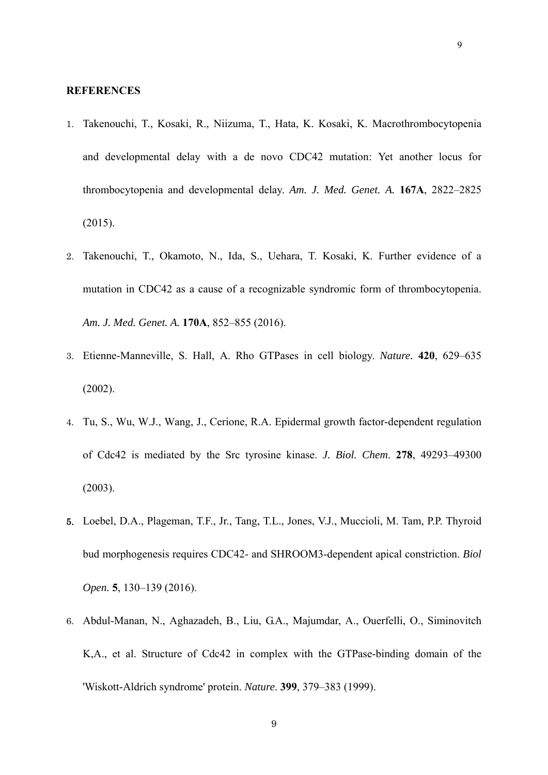#### **REFERENCES**

- 1. Takenouchi, T., Kosaki, R., Niizuma, T., Hata, K. Kosaki, K. Macrothrombocytopenia and developmental delay with a de novo CDC42 mutation: Yet another locus for thrombocytopenia and developmental delay. *Am. J. Med. Genet. A.* **167A**, 2822–2825 (2015).
- 2. Takenouchi, T., Okamoto, N., Ida, S., Uehara, T. Kosaki, K. Further evidence of a mutation in CDC42 as a cause of a recognizable syndromic form of thrombocytopenia. *Am. J. Med. Genet. A.* **170A**, 852–855 (2016).
- 3. Etienne-Manneville, S. Hall, A. Rho GTPases in cell biology. *Nature.* **420**, 629–635 (2002).
- 4. Tu, S., Wu, W.J., Wang, J., Cerione, R.A. Epidermal growth factor-dependent regulation of Cdc42 is mediated by the Src tyrosine kinase. *J. Biol. Chem*. **278**, 49293–49300 (2003).
- 5. Loebel, D.A., Plageman, T.F., Jr., Tang, T.L., Jones, V.J., Muccioli, M. Tam, P.P. Thyroid bud morphogenesis requires CDC42- and SHROOM3-dependent apical constriction. *Biol Open.* **5**, 130–139 (2016).
- 6. Abdul-Manan, N., Aghazadeh, B., Liu, G.A., Majumdar, A., Ouerfelli, O., Siminovitch K,A., et al. Structure of Cdc42 in complex with the GTPase-binding domain of the 'Wiskott-Aldrich syndrome' protein. *Nature*. **399**, 379–383 (1999).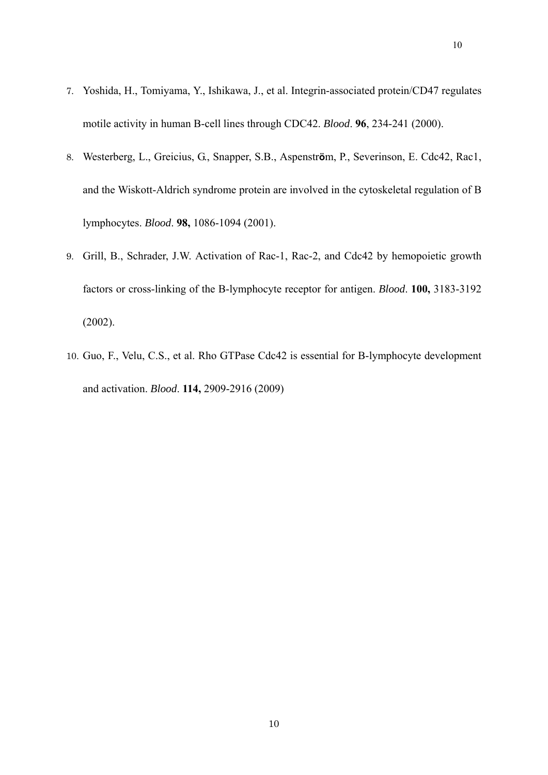- 7. Yoshida, H., Tomiyama, Y., Ishikawa, J., et al. Integrin-associated protein/CD47 regulates motile activity in human B-cell lines through CDC42. *Blood*. **96**, 234-241 (2000).
- 8. Westerberg, L., Greicius, G., Snapper, S.B., Aspenstr**ö**m, P., Severinson, E. Cdc42, Rac1, and the Wiskott-Aldrich syndrome protein are involved in the cytoskeletal regulation of B lymphocytes. *Blood*. **98,** 1086-1094 (2001).
- 9. Grill, B., Schrader, J.W. Activation of Rac-1, Rac-2, and Cdc42 by hemopoietic growth factors or cross-linking of the B-lymphocyte receptor for antigen. *Blood*. **100,** 3183-3192 (2002).
- 10. Guo, F., Velu, C.S., et al. Rho GTPase Cdc42 is essential for B-lymphocyte development and activation. *Blood*. **114,** 2909-2916 (2009)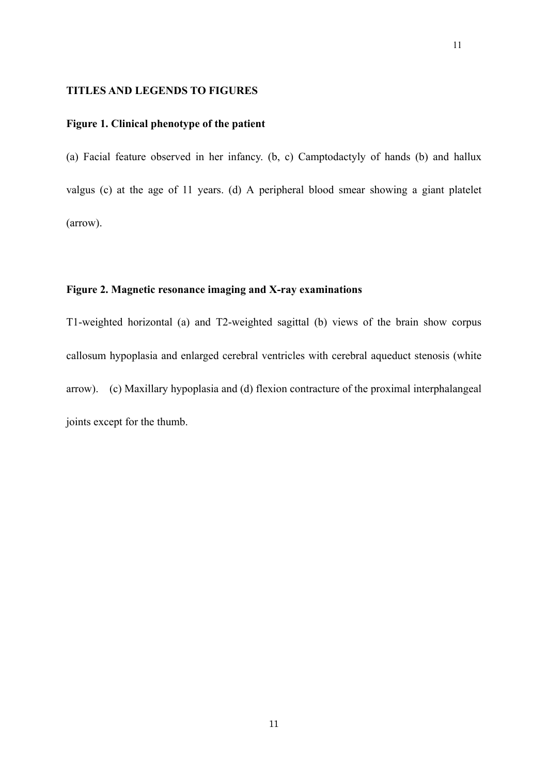#### **TITLES AND LEGENDS TO FIGURES**

# **Figure 1. Clinical phenotype of the patient**

(a) Facial feature observed in her infancy. (b, c) Camptodactyly of hands (b) and hallux valgus (c) at the age of 11 years. (d) A peripheral blood smear showing a giant platelet (arrow).

# **Figure 2. Magnetic resonance imaging and X-ray examinations**

T1-weighted horizontal (a) and T2-weighted sagittal (b) views of the brain show corpus callosum hypoplasia and enlarged cerebral ventricles with cerebral aqueduct stenosis (white arrow). (c) Maxillary hypoplasia and (d) flexion contracture of the proximal interphalangeal joints except for the thumb.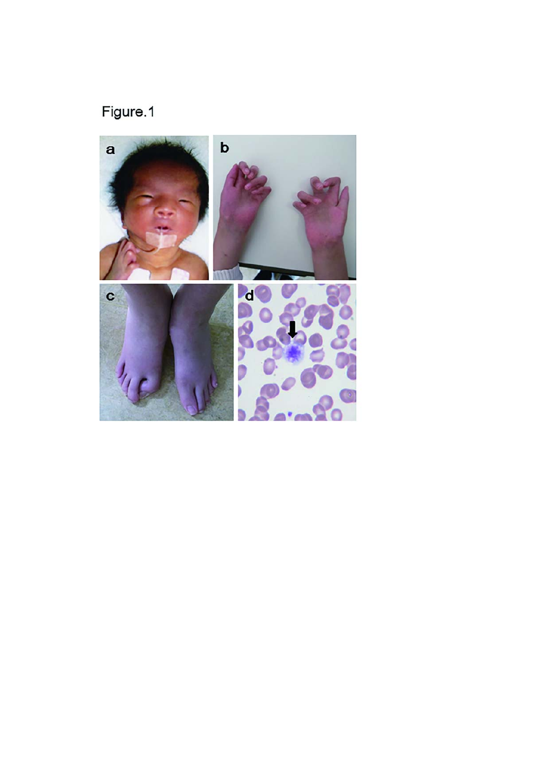